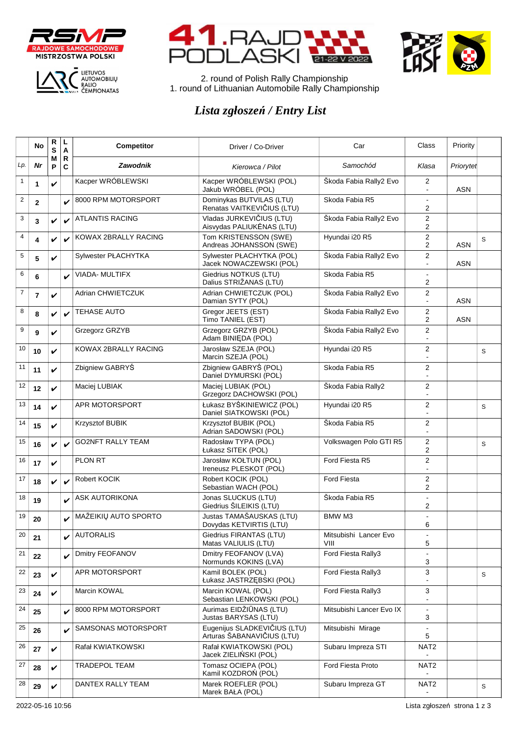







2. round of Polish Rally Championship 1. round of Lithuanian Automobile Rally Championship

## *Lista zgłoszeń / Entry List*

|                | No             | R<br>S       | ц<br>A            | Competitor               | Driver / Co-Driver                                         | Car                           | Class                         | Priority   |   |
|----------------|----------------|--------------|-------------------|--------------------------|------------------------------------------------------------|-------------------------------|-------------------------------|------------|---|
| Lp.            | Nr             | М<br>P       | $\mathsf{R}$<br>C | <b>Zawodnik</b>          | Kierowca / Pilot                                           | Samochód                      | Klasa                         | Priorytet  |   |
| $\mathbf{1}$   | 1              | V            |                   | Kacper WRÓBLEWSKI        | Kacper WRÓBLEWSKI (POL)<br>Jakub WRÓBEL (POL)              | Škoda Fabia Rally2 Evo        | 2<br>$\blacksquare$           | <b>ASN</b> |   |
| 2              | $\mathbf{2}$   |              | V                 | 8000 RPM MOTORSPORT      | Dominykas BUTVILAS (LTU)<br>Renatas VAITKEVIČIUS (LTU)     | Skoda Fabia R5                | $\overline{a}$<br>2           |            |   |
| 3              | 3              | $\checkmark$ | V                 | <b>ATLANTIS RACING</b>   | Vladas JURKEVIČIUS (LTU)<br>Aisvydas PALIUKĖNAS (LTU)      | Škoda Fabia Rally2 Evo        | 2<br>2                        |            |   |
| 4              | 4              | V            | ✓                 | KOWAX 2BRALLY RACING     | Tom KRISTENSSON (SWE)<br>Andreas JOHANSSON (SWE)           | Hyundai i20 R5                | 2<br>2                        | ASN        | S |
| 5              | 5              | V            |                   | Sylwester PŁACHYTKA      | Sylwester PŁACHYTKA (POL)<br>Jacek NOWACZEWSKI (POL)       | Škoda Fabia Rally2 Evo        | 2                             | ASN        |   |
| 6              | 6              |              | V                 | <b>VIADA- MULTIFX</b>    | Giedrius NOTKUS (LTU)<br>Dalius STRIŽANAS (LTU)            | Skoda Fabia R5                | 2                             |            |   |
| $\overline{7}$ | $\overline{7}$ | V            |                   | Adrian CHWIETCZUK        | Adrian CHWIETCZUK (POL)<br>Damian SYTY (POL)               | Škoda Fabia Rally2 Evo        | 2<br>$\overline{\phantom{a}}$ | ASN        |   |
| 8              | 8              | $\checkmark$ | ✓                 | TEHASE AUTO              | Gregor JEETS (EST)<br>Timo TANIEL (EST)                    | Škoda Fabia Rally2 Evo        | 2<br>2                        | <b>ASN</b> |   |
| 9              | 9              | V            |                   | Grzegorz GRZYB           | Grzegorz GRZYB (POL)<br>Adam BINIEDA (POL)                 | Škoda Fabia Rally2 Evo        | $\overline{2}$                |            |   |
| 10             | 10             | V            |                   | KOWAX 2BRALLY RACING     | Jarosław SZEJA (POL)<br>Marcin SZEJA (POL)                 | Hyundai i20 R5                | $\overline{2}$                |            | S |
| 11             | 11             | V            |                   | Zbigniew GABRYŚ          | Zbigniew GABRYŚ (POL)<br>Daniel DYMURSKI (POL)             | Skoda Fabia R5                | 2                             |            |   |
| 12             | 12             | V            |                   | Maciej LUBIAK            | Maciej LUBIAK (POL)<br>Grzegorz DACHOWSKI (POL)            | Škoda Fabia Rally2            | 2                             |            |   |
| 13             | 14             | V            |                   | APR MOTORSPORT           | Łukasz BYŚKINIEWICZ (POL)<br>Daniel SIATKOWSKI (POL)       | Hyundai i20 R5                | 2                             |            | S |
| 14             | 15             | V            |                   | Krzysztof BUBIK          | Krzysztof BUBIK (POL)<br>Adrian SADOWSKI (POL)             | Škoda Fabia R5                | 2                             |            |   |
| 15             | 16             | V            | ✓                 | <b>GO2NFT RALLY TEAM</b> | Radosław TYPA (POL)<br>Łukasz SITEK (POL)                  | Volkswagen Polo GTI R5        | 2<br>2                        |            | S |
| 16             | 17             | V            |                   | <b>PLON RT</b>           | Jarosław KOŁTUN (POL)<br>Ireneusz PLESKOT (POL)            | Ford Fiesta R5                | 2                             |            |   |
| 17             | 18             | V            | ✓                 | Robert KOCIK             | Robert KOCIK (POL)<br>Sebastian WACH (POL)                 | <b>Ford Fiesta</b>            | 2<br>2                        |            |   |
| 18             | 19             |              | V                 | <b>ASK AUTORIKONA</b>    | Jonas SLUCKUS (LTU)<br>Giedrius ŠILEIKIS (LTU)             | Škoda Fabia R5                | $\overline{a}$<br>2           |            |   |
| 19             | 20             |              |                   | MAŽEIKIŲ AUTO SPORTO     | Justas TAMAŠAUSKAS (LTU)<br>Dovydas KETVIRTIS (LTU)        | BMW M3                        | $\overline{a}$<br>6           |            |   |
| 20             | 21             |              | V                 | <b>AUTORALIS</b>         | Giedrius FIRANTAS (LTU)<br>Matas VALIULIS (LTU)            | Mitsubishi Lancer Evo<br>VIII | $\blacksquare$<br>5           |            |   |
| 21             | 22             |              | V                 | Dmitry FEOFANOV          | Dmitry FEOFANOV (LVA)<br>Normunds KOKINS (LVA)             | Ford Fiesta Rally3            | 3                             |            |   |
| 22             | 23             | V            |                   | APR MOTORSPORT           | Kamil BOLEK (POL)<br>Łukasz JASTRZĘBSKI (POL)              | Ford Fiesta Rally3            | 3                             |            | S |
| 23             | 24             | V            |                   | Marcin KOWAL             | Marcin KOWAL (POL)<br>Sebastian LENKOWSKI (POL)            | Ford Fiesta Rally3            | 3                             |            |   |
| 24             | 25             |              | ✓                 | 8000 RPM MOTORSPORT      | Aurimas EIDŽIŪNAS (LTU)<br>Justas BARYSAS (LTU)            | Mitsubishi Lancer Evo IX      | $\blacksquare$<br>3           |            |   |
| 25             | 26             |              | V                 | SAMSONAS MOTORSPORT      | Eugenijus SLADKEVIČIUS (LTU)<br>Arturas ŠABANAVIČIUS (LTU) | Mitsubishi Mirage             | $\blacksquare$<br>5           |            |   |
| 26             | 27             | V            |                   | Rafał KWIATKOWSKI        | Rafał KWIATKOWSKI (POL)<br>Jacek ZIELIŃSKI (POL)           | Subaru Impreza STI            | NAT <sub>2</sub>              |            |   |
| 27             | 28             | V            |                   | <b>TRADEPOL TEAM</b>     | Tomasz OCIEPA (POL)<br>Kamil KOZDROŃ (POL)                 | Ford Fiesta Proto             | NAT <sub>2</sub>              |            |   |
| 28             | 29             | V            |                   | DANTEX RALLY TEAM        | Marek ROEFLER (POL)<br>Marek BAŁA (POL)                    | Subaru Impreza GT             | NAT <sub>2</sub><br>$\sim$    |            | S |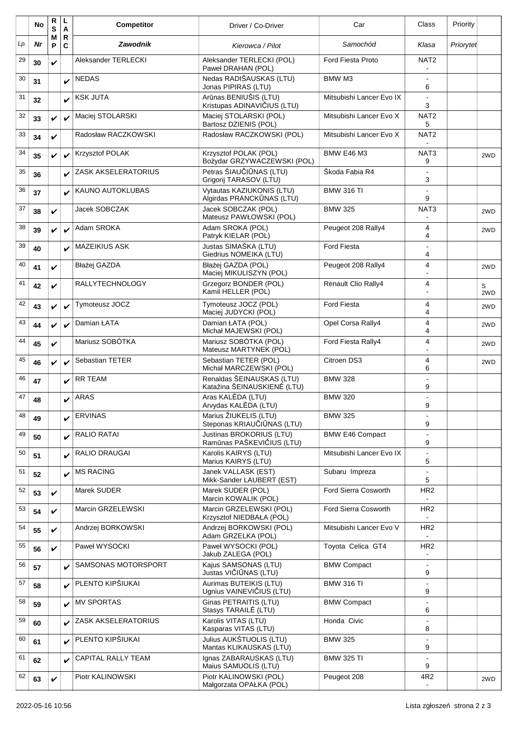|     | No | R<br>S       | L<br>A                      | <b>Competitor</b>       | Driver / Co-Driver                                       | Car                        | Class                             | Priority  |          |
|-----|----|--------------|-----------------------------|-------------------------|----------------------------------------------------------|----------------------------|-----------------------------------|-----------|----------|
| Lp. | Nr | М<br>P       | $\mathsf{R}$<br>$\mathbf c$ | <b>Zawodnik</b>         | Kierowca / Pilot                                         | Samochód                   | Klasa                             | Priorytet |          |
| 29  | 30 | V            |                             | Aleksander TERLECKI     | Aleksander TERLECKI (POL)<br>Paweł DRAHAN (POL)          | <b>Ford Fiesta Proto</b>   | NAT <sub>2</sub>                  |           |          |
| 30  | 31 |              | V                           | <b>NEDAS</b>            | Nedas RADIŠAUSKAS (LTU)<br>Jonas PIPIRAS (LTU)           | BMW M3                     | $\overline{a}$<br>6               |           |          |
| 31  | 32 |              | V                           | <b>KSK JUTA</b>         | Arūnas BENIUŠIS (LTU)<br>Kristupas ADINAVIČIUS (LTU)     | Mitsubishi Lancer Evo IX   | 3                                 |           |          |
| 32  | 33 | V            | ✓                           | Maciej STOLARSKI        | Maciej STOLARSKI (POL)<br>Bartosz DZIENIS (POL)          | Mitsubishi Lancer Evo X    | NAT <sub>2</sub><br>5             |           |          |
| 33  | 34 | V            |                             | Radosław RACZKOWSKI     | Radosław RACZKOWSKI (POL)                                | Mitsubishi Lancer Evo X    | NAT <sub>2</sub>                  |           |          |
| 34  | 35 | V            | V                           | Krzysztof POLAK         | Krzysztof POLAK (POL)<br>Bożydar GRZYWACZEWSKI (POL)     | <b>BMW E46 M3</b>          | NAT <sub>3</sub><br>9             |           | 2WD      |
| 35  | 36 |              | V                           | ZASK AKSELERATORIUS     | Petras ŠIAUČIŪNAS (LTU)<br>Grigorij TARASOV (LTU)        | Skoda Fabia R4             | $\blacksquare$<br>3               |           |          |
| 36  | 37 |              |                             | <b>KAUNO AUTOKLUBAS</b> | Vytautas KAZIUKONIS (LTU)<br>Algirdas PRANCKŪNAS (LTU)   | <b>BMW 316 TI</b>          | 9                                 |           |          |
| 37  | 38 | V            |                             | Jacek SOBCZAK           | Jacek SOBCZAK (POL)<br>Mateusz PAWŁOWSKI (POL)           | <b>BMW 325</b>             | NAT3                              |           | 2WD      |
| 38  | 39 | $\checkmark$ | V                           | Adam SROKA              | Adam SROKA (POL)<br>Patryk KIELAR (POL)                  | Peugeot 208 Rally4         | 4<br>4                            |           | 2WD      |
| 39  | 40 |              | V                           | <b>MAZEIKIUS ASK</b>    | Justas SIMAŠKA (LTU)<br>Giedrius NOMEIKA (LTU)           | <b>Ford Fiesta</b>         | 4                                 |           |          |
| 40  | 41 | V            |                             | Błażej GAZDA            | Błażei GAZDA (POL)<br>Maciej MIKULISZYN (POL)            | Peugeot 208 Rally4         | 4                                 |           | 2WD      |
| 41  | 42 | V            |                             | <b>RALLYTECHNOLOGY</b>  | Grzegorz BONDER (POL)<br>Kamil HELLER (POL)              | <b>Renault Clio Rally4</b> | 4                                 |           | S<br>2WD |
| 42  | 43 | V            | ✓                           | Tymoteusz JOCZ          | Tymoteusz JOCZ (POL)<br>Maciej JUDYCKI (POL)             | <b>Ford Fiesta</b>         | 4<br>4                            |           | 2WD      |
| 43  | 44 | V            | V                           | Damian ŁATA             | Damian ŁATA (POL)<br>Michał MAJEWSKI (POL)               | Opel Corsa Rally4          | 4<br>4                            |           | 2WD      |
| 44  | 45 | ✓            |                             | Mariusz SOBÓTKA         | Mariusz SOBÓTKA (POL)<br>Mateusz MARTYNEK (POL)          | Ford Fiesta Rally4         | 4<br>$\blacksquare$               |           | 2WD      |
| 45  | 46 | $\checkmark$ | $\checkmark$                | Sebastian TETER         | Sebastian TETER (POL)<br>Michał MARCZEWSKI (POL)         | Citroen DS3                | 4<br>6                            |           | 2WD      |
| 46  | 47 |              |                             | <b>RR TEAM</b>          | Renaldas ŠEINAUSKAS (LTU)<br>Katažina ŠEINAUSKIENĖ (LTU) | <b>BMW 328</b>             | 9                                 |           |          |
| 47  | 48 |              | ✓                           | ARAS                    | Aras KALEDA (LTU)<br>Arvydas KALĖDA (LTU)                | <b>BMW 320</b>             | 9                                 |           |          |
| 48  | 49 |              | V                           | <b>ERVINAS</b>          | Marius ŽIUKELIS (LTU)<br>Steponas KRIAUČIŪNAS (LTU)      | <b>BMW 325</b>             | 9                                 |           |          |
| 49  | 50 |              | V                           | RALIO RATAI             | Justinas BROKORIUS (LTU)<br>Ramūnas PAŠKEVIČIUS (LTU)    | <b>BMW E46 Compact</b>     | 9                                 |           |          |
| 50  | 51 |              | V                           | RALIO DRAUGAI           | Karolis KAIRYS (LTU)<br>Marius KAIRYS (LTU)              | Mitsubishi Lancer Evo IX   | 5                                 |           |          |
| 51  | 52 |              | V                           | <b>MS RACING</b>        | Janek VALLASK (EST)<br>Mikk-Sander LAUBERT (EST)         | Subaru Impreza             | 5                                 |           |          |
| 52  | 53 | V            |                             | Marek SUDER             | Marek SUDER (POL)<br>Marcin KOWALIK (POL)                | Ford Sierra Cosworth       | HR <sub>2</sub>                   |           |          |
| 53  | 54 | V            |                             | Marcin GRZELEWSKI       | Marcin GRZELEWSKI (POL)<br>Krzysztof NIEDBAŁA (POL)      | Ford Sierra Cosworth       | HR <sub>2</sub>                   |           |          |
| 54  | 55 | V            |                             | Andrzej BORKOWSKI       | Andrzej BORKOWSKI (POL)<br>Adam GRZELKA (POL)            | Mitsubishi Lancer Evo V    | HR <sub>2</sub>                   |           |          |
| 55  | 56 | $\checkmark$ |                             | Paweł WYSOCKI           | Paweł WYSOCKI (POL)<br>Jakub ZALEGA (POL)                | Toyota Celica GT4          | HR <sub>2</sub><br>$\blacksquare$ |           |          |
| 56  | 57 |              | V                           | SAMSONAS MOTORSPORT     | Kajus SAMSONAS (LTU)<br>Justas VIČIŪNAS (LTU)            | <b>BMW Compact</b>         | $\overline{\phantom{a}}$<br>9     |           |          |
| 57  | 58 |              | $\mathbf v$                 | PLENTO KIPŠIUKAI        | Aurimas BUTEIKIS (LTU)<br>Ugnius VAINEVIČIUS (LTU)       | <b>BMW 316 TI</b>          | 9                                 |           |          |
| 58  | 59 |              | V                           | <b>MV SPORTAS</b>       | Ginas PETRAITIS (LTU)<br>Stasys TARAILE (LTU)            | <b>BMW Compact</b>         | 6                                 |           |          |
| 59  | 60 |              | V                           | ZASK AKSELERATORIUS     | Karolis VITAS (LTU)<br>Kasparas VITAS (LTU)              | Honda Civic                | 8                                 |           |          |
| 60  | 61 |              | V                           | PLENTO KIPŠIUKAI        | Julius AUKŠTUOLIS (LTU)<br>Mantas KLIKAUSKAS (LTU)       | <b>BMW 325</b>             | 9                                 |           |          |
| 61  | 62 |              | V                           | CAPITAL RALLY TEAM      | Ignas ZABARAUSKAS (LTU)<br>Maius SAMUOLIS (LTU)          | <b>BMW 325 TI</b>          | $\overline{a}$<br>9               |           |          |
| 62  | 63 | V            |                             | Piotr KALINOWSKI        | Piotr KALINOWSKI (POL)<br>Małgorzata OPAŁKA (POL)        | Peugeot 208                | 4R2<br>$\blacksquare$             |           | 2WD      |